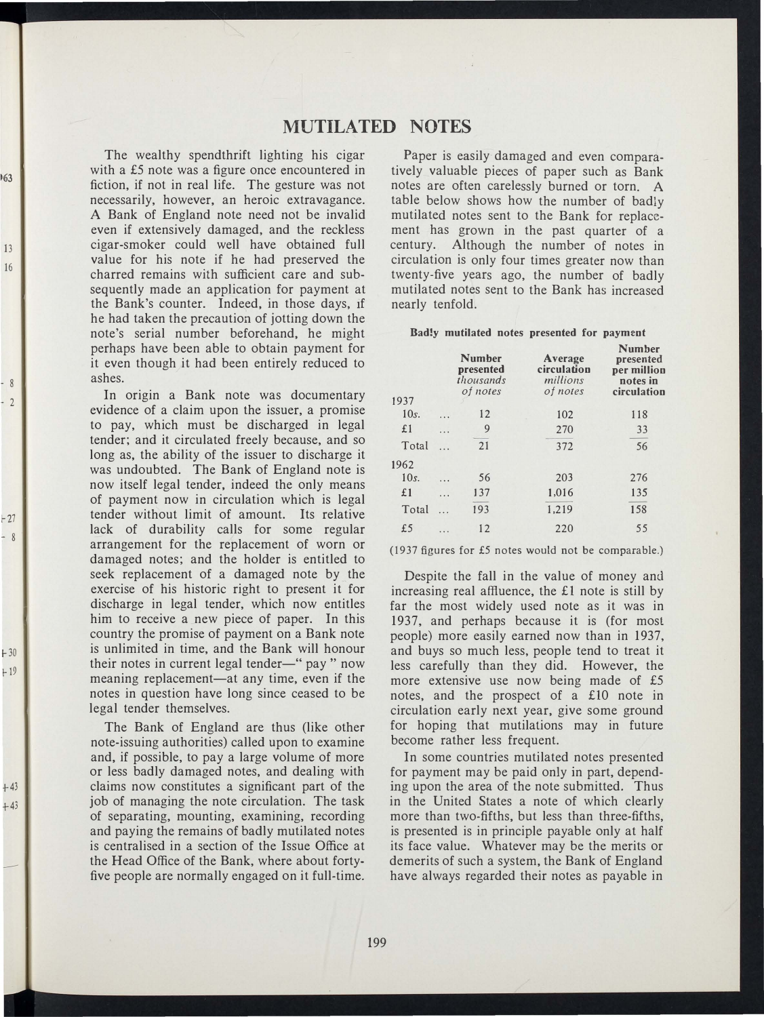## MUTILATED NOTES

The wealthy spendthrift lighting his cigar with a £5 note was a figure once encountered in fiction, if not in real life. The gesture was not necessarily, however, an heroic extravagance. A Bank of England note need not be invalid even if extensively damaged, and the reckless cigar-smoker could well have obtained full value for his note if he had preserved the charred remains with sufficient care and subsequently made an application for payment at the Bank's counter. Indeed, in those days, If he had taken the precaution of jotting down the note's serial number beforehand, he might perhaps have been able to obtain payment for it even though it had been entirely reduced to ashes.

163

13 16

> - 8 - 2

�27 - 8

I- 30 � 19

 $+43$ +43

In origin a Bank note was documentary evidence of a claim upon the issuer, a promise to pay, which must be discharged in legal tender; and it circulated freely because, and so long as, the ability of the issuer to discharge it was undoubted. The Bank of England note is now itself legal tender, indeed the only means of payment now in circulation which is legal tender without limit of amount. Its relative lack of durability calls for some regular arrangement for the replacement of worn or damaged notes; and the holder is entitled to seek replacement of a damaged note by the exercise of his historic right to present it for discharge in legal tender, which now entitles him to receive a new piece of paper. In this country the promise of payment on a Bank note is unlimited in time, and the Bank will honour their notes in current legal tender-" pay" now meaning replacement—at any time, even if the notes in question have long since ceased to be legal tender themselves.

The Bank of England are thus (like other note-issuing authorities) called upon to examine and, if possible, to pay a large volume of more or less badly damaged notes, and dealing with claims now constitutes a significant part of the job of managing the note circulation. The task of separating, mounting, examining, recording and paying the remains of badly mutilated notes is centralised in a section of the Issue Office at the Head Office of the Bank, where about fortyfive people are normally engaged on it full-time.

Paper is easily damaged and even comparatively valuable pieces of paper such as Bank notes are often carelessly burned or torn. A table below shows how the number of badly mutilated notes sent to the Bank for replacement has grown in the past quarter of a century. Although the number of notes in circulation is only four times greater now than twenty-five years ago, the number of badly mutilated notes sent to the Bank has increased nearly tenfold.

Bad!y mutilated notes presented for payment

| 1937    |          | <b>Number</b><br>presented<br>thousands<br>of notes | Average<br>circulation<br>millions<br>of notes | <b>Number</b><br>presented<br>per million<br>notes in<br>circulation |
|---------|----------|-----------------------------------------------------|------------------------------------------------|----------------------------------------------------------------------|
|         |          |                                                     |                                                |                                                                      |
| 10s.    | .        | 12                                                  | 102                                            | 118                                                                  |
| £1      | $\cdots$ | 9                                                   | 270                                            | 33                                                                   |
| Total   | .        | 21                                                  | 372                                            | 56                                                                   |
| 1962    |          |                                                     |                                                |                                                                      |
| $10s$ . | $\cdots$ | 56                                                  | 203                                            | 276                                                                  |
| £1      | .        | 137                                                 | 1,016                                          | 135                                                                  |
| Total   | $\cdots$ | 193                                                 | 1.219                                          | 158                                                                  |
| £5      | $\cdots$ | 12                                                  | 220                                            | 55                                                                   |

(1937 figures for £5 notes would not be comparable.)

Despite the fall in the value of money and increasing real affluence, the £1 note is still by far the most widely used note as it was in 1937, and perhaps because it is (for most people) more easily earned now than in 1937, and buys so much less, people tend to treat it less carefully than they did. However, the more extensive use now being made of £5 notes, and the prospect of a £10 note in circulation early next year, give some ground for hoping that mutilations may in future become rather less frequent.

In some countries mutilated notes presented for payment may be paid only in part, depending upon the area of the note submitted. Thus in the United States a note of which clearly more than two-fifths, but less than three-fifths, is presented is in principle payable only at half its face value. Whatever may be the merits or demerits of such a system, the Bank of England have always regarded their notes as payable in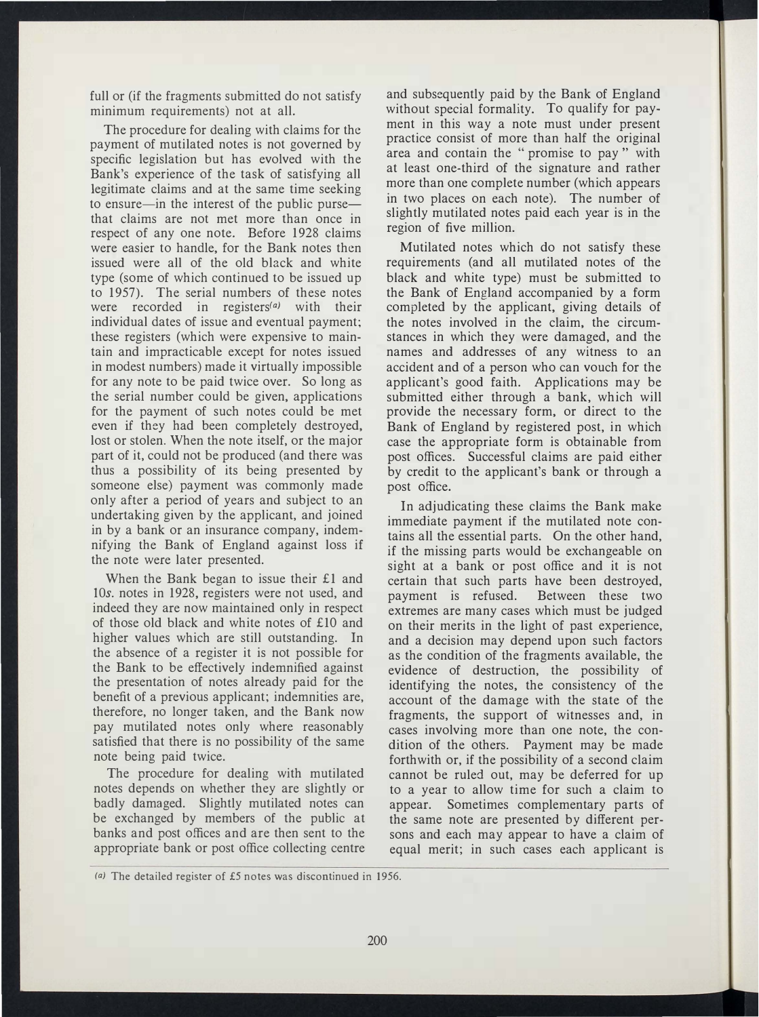full or (if the fragments submitted do not satisfy minimum requirements) not at all.

The procedure for dealing with claims for the payment of mutilated notes is not governed by specific legislation but has evolved with the Bank's experience of the task of satisfying all legitimate claims and at the same time seeking to ensure-in the interest of the public pursethat claims are not met more than once in respect of any one note. Before 1928 claims were easier to handle, for the Bank notes then issued were all of the old black and white type (some of which continued to be issued up to 1957). The serial numbers of these notes were recorded in registers<sup> $(a)$ </sup> with their individual dates of issue and eventual payment; these registers (which were expensive to maintain and impracticable except for notes issued in modest numbers) made it virtually impossible for any note to be paid twice over. So long as the serial number could be given, applications for the payment of such notes could be met even if they had been completely destroyed, lost or stolen. When the note itself, or the major part of it, could not be produced (and there was thus a possibility of its being presented by someone else) payment was commonly made only after a period of years and subject to an undertaking given by the applicant, and joined in by a bank or an insurance company, indemnifying the Bank of England against loss if the note were later presented.

When the Bank began to issue their £1 and lOs. notes in 1928, registers were not used, and indeed they are now maintained only in respect of those old black and white notes of £10 and higher values which are still outstanding. In the absence of a register it is not possible for the Bank to be effectively indemnified against the presentation of notes already paid for the benefit of a previous applicant; indemnities are, therefore, no longer taken, and the Bank now pay mutilated notes only where reasonably satisfied that there is no possibility of the same note being paid twice.

The procedure for dealing with mutilated notes depends on whether they are slightly or badly damaged. Slightly mutilated notes can be exchanged by members of the public at banks and post offices and are then sent to the appropriate bank or post office collecting centre and subsequently paid by the Bank of England without special formality. To qualify for payment in this way a note must under present practice consist of more than half the original area and contain the "promise to pay" with at least one-third of the signature and rather more than one complete number (which appears in two places on each note). The number of slightly mutilated notes paid each year is in the region of five million.

Mutilated notes which do not satisfy these requirements (and all mutilated notes of the black and white type) must be submitted to the Bank of England accompanied by a form completed by the applicant, giving details of the notes involved in the claim, the circumstances in which they were damaged, and the names and addresses of any witness to an accident and of a person who can vouch for the applicant's good faith. Applications may be submitted either through a bank, which will provide the necessary form, or direct to the Bank of England by registered post, in which case the appropriate form is obtainable from post offices. Successful claims are paid either by credit to the applicant's bank or through a post office.

In adjudicating these claims the Bank make immediate payment if the mutilated note contains all the essential parts. On the other hand, if the missing parts would be exchangeable on sight at a bank or post office and it is not certain that such parts have been destroyed, payment is refused. Between these two extremes are many cases which must be judged on their merits in the light of past experience, and a decision may depend upon such factors as the condition of the fragments available, the evidence of destruction, the possibility of identifying the notes, the consistency of the account of the damage with the state of the fragments, the support of witnesses and, in cases involving more than one note, the condition of the others. Payment may be made forthwith or, if the possibility of a second claim cannot be ruled out, may be deferred for up to a year to allow time for such a claim to appear. Sometimes complementary parts of the same note are presented by different persons and each may appear to have a claim of equal merit; in such cases each applicant is

<sup>(</sup>a) The detailed register of £5 notes was discontinued in 1956.